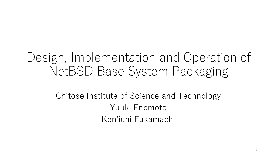#### Design, Implementation and Operation of NetBSD Base System Packaging

#### Chitose Institute of Science and Technology Yuuki Enomoto Ken'ichi Fukamachi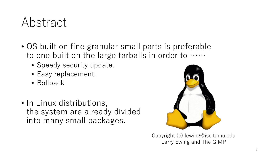#### Abstract

- OS built on fine granular small parts is preferable to one built on the large tarballs in order to ……
	- Speedy security update.
	- Easy replacement.
	- Rollback
- In Linux distributions, the system are already divided into many small packages.



Copyright (c) lewing@isc.tamu.edu Larry Ewing and The GIMP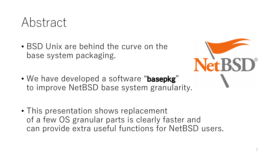

• BSD Unix are behind the curve on the base system packaging.



- We have developed a software "**basepkg**" to improve NetBSD base system granularity.
- This presentation shows replacement of a few OS granular parts is clearly faster and can provide extra useful functions for NetBSD users.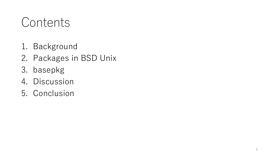#### **Contents**

- 1. Background
- 2. Packages in BSD Unix
- 3. basepkg
- 4. Discussion
- 5. Conclusion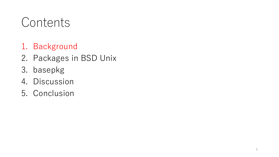#### **Contents**

- 1. Background
- 2. Packages in BSD Unix
- 3. basepkg
- 4. Discussion
- 5. Conclusion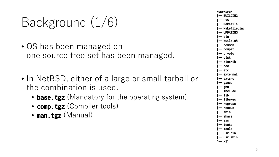## Background (1/6)

- OS has been managed on one source tree set has been managed.
- In NetBSD, either of a large or small tarball or the combination is used.
	- **base.tgz** (Mandatory for the operating system)
	- **comp.tgz** (Compiler tools)
	- **man.tgz** (Manual)

**/usr/src/ |-- BUILDING |-- CVS |-- Makefile |-- Makefile.inc |-- UPDATING |-- bin |-- build.sh |-- common |-- compat |-- crypto |-- dist |-- distrib |-- doc |-- etc |-- external |-- extsrc |-- games |-- gnu |-- include |-- lib |-- libexec |-- regress |-- rescue |-- sbin |-- share |-- sys |-- tests |-- tools |-- usr.bin |-- usr.sbin `-- x11**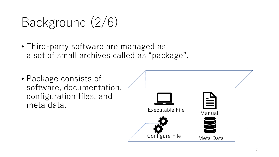## Background (2/6)

- Third-party software are managed as a set of small archives called as "package".
- Package consists of software, documentation, configuration files, and meta data.<br>Executable File

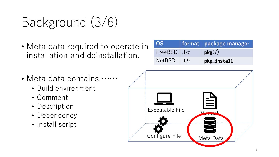## Background (3/6)

• Meta data required to operate in installation and deinstallation.

| <b>OS</b>   |      | format   package manager |
|-------------|------|--------------------------|
| FreeBSD txz |      | pkg(7)                   |
| NetBSD      | .tgz | pkg_install              |

- Meta data contains ……
	- Build environment
	- Comment
	- Description
	- Dependency
	- Install script

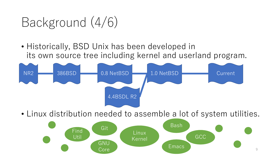### Background (4/6)

• Historically, BSD Unix has been developed in its own source tree including kernel and userland program.



• Linux distribution needed to assemble a lot of system utilities.

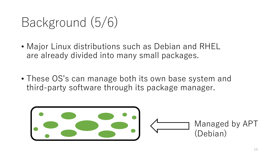## Background (5/6)

- Major Linux distributions such as Debian and RHEL are already divided into many small packages.
- These OS's can manage both its own base system and third-party software through its package manager.

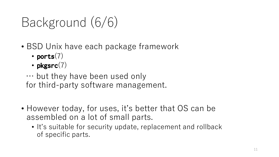## Background (6/6)

- BSD Unix have each package framework
	- **ports**(7)
	- **pkgsrc**(7)
	- … but they have been used only for third-party software management.
- However today, for uses, it's better that OS can be assembled on a lot of small parts.
	- It's suitable for security update, replacement and rollback of specific parts.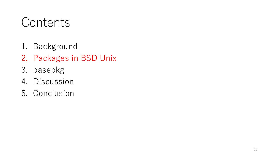#### **Contents**

- 1. Background
- 2. Packages in BSD Unix
- 3. basepkg
- 4. Discussion
- 5. Conclusion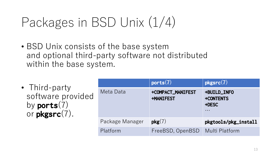### Packages in BSD Unix (1/4)

- BSD Unix consists of the base system and optional third-party software not distributed within the base system.
- Third-party software provided by **ports**(7) or **pkgsrc**(7).

|                 | ports(7)                              | pkgsrc(7)                                                    |
|-----------------|---------------------------------------|--------------------------------------------------------------|
| Meta Data       | +COMPACT_MANIFEST<br><b>+MANIFEST</b> | +BUILD_INFO<br>+CONTENTS<br>+DESC<br>$\bullet\bullet\bullet$ |
| Package Manager | pkg(7)                                | pkgtools/pkg_install                                         |
| Platform        | FreeBSD, OpenBSD                      | Multi Platform                                               |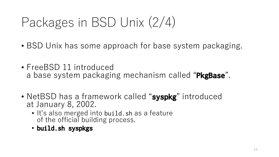## Packages in BSD Unix (2/4)

- BSD Unix has some approach for base system packaging.
- FreeBSD 11 introduced a base system packaging mechanism called "**PkgBase**".
- NetBSD has a framework called "**syspkg**" introduced at January 8, 2002.
	- It's also merged into build.sh as a feature of the official building process.
	- **build.sh syspkgs**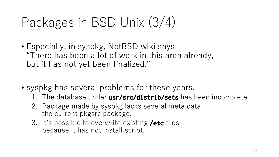## Packages in BSD Unix (3/4)

- Especially, in syspkg, NetBSD wiki says "There has been a lot of work in this area already, but it has not yet been finalized."
- syspkg has several problems for these years.
	- 1. The database under **usr/src/distrib/sets** has been incomplete.
	- 2. Package made by syspkg lacks several meta data the current pkgsrc package.
	- 3. It's possible to overwrite existing **/etc** files because it has not install script.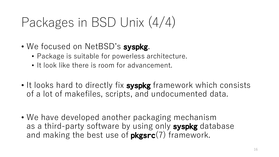## Packages in BSD Unix (4/4)

- We focused on NetBSD's **syspkg**.
	- Package is suitable for powerless architecture.
	- It look like there is room for advancement.
- It looks hard to directly fix **syspkg** framework which consists of a lot of makefiles, scripts, and undocumented data.
- We have developed another packaging mechanism as a third-party software by using only **syspkg** database and making the best use of **pkgsrc**(7) framework.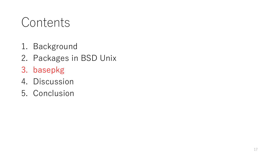#### **Contents**

- 1. Background
- 2. Packages in BSD Unix
- 3. basepkg
- 4. Discussion
- 5. Conclusion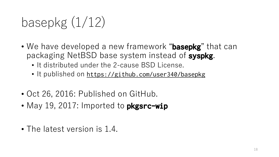## basepkg (1/12)

- We have developed a new framework "**basepkg**" that can packaging NetBSD base system instead of **syspkg**.
	- It distributed under the 2-cause BSD License.
	- It published on https://github.com/user340/basepkg
- Oct 26, 2016: Published on GitHub.
- May 19, 2017: Imported to **pkgsrc-wip**
- The latest version is 1.4.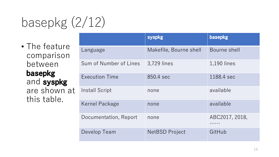## basepkg (2/12)

• The feature comparison between **basepkg** and **syspkg** are shown at this table.

|                        | syspkg                 | basepkg        |
|------------------------|------------------------|----------------|
| Language               | Makefile, Bourne shell | Bourne shell   |
| Sum of Number of Lines | 3,729 lines            | 1,190 lines    |
| <b>Execution Time</b>  | 850.4 sec              | 1188.4 sec     |
| Install Script         | none                   | available      |
| Kernel Package         | none                   | available      |
| Documentation, Report  | none                   | ABC2017, 2018, |
| Develop Team           | <b>NetBSD Project</b>  | GitHub         |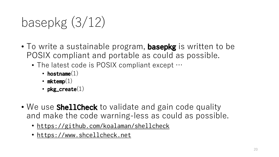## basepkg (3/12)

- To write a sustainable program, **basepkg** is written to be POSIX compliant and portable as could as possible.
	- The latest code is POSIX compliant except  $\cdots$ 
		- **hostname**(1)
		- **mktemp**(1)
		- **pkg\_create**(1)
- We use **ShellCheck** to validate and gain code quality and make the code warning-less as could as possible.
	- https://github.com/koalaman/shellcheck
	- https://www.shcellcheck.net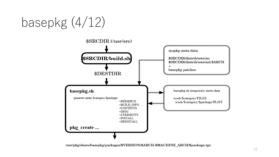basepkg (4/12)



/usr/pkg/share/basepkg/packages/\$VERSION/\$ARCH-\$MACHINE\_ARCH/\$package.tgz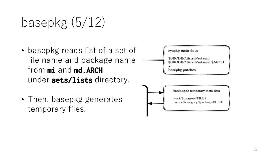## basepkg (5/12)

- basepkg reads list of a set of file name and package name from **mi** and **md.ARCH** under **sets/lists** directory.
- Then, basepkg generates temporary files.

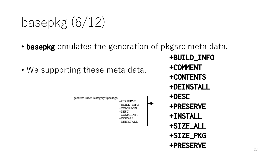## basepkg (6/12)

- **basepkg** emulates the generation of pkgsrc meta data.
- We supporting these meta data.



**+BUILD\_INFO +COMMENT +CONTENTS +DEINSTALL +PRESERVE +INSTALL +SIZE\_ALL +SIZE\_PKG +PRESERVE**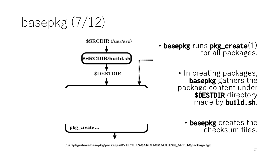## basepkg (7/12)



/usr/pkg/share/basepkg/packages/\$VERSION/\$ARCH-\$MACHINE\_ARCH/\$package.tgz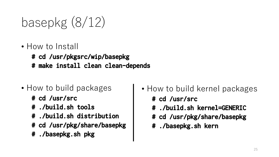## basepkg (8/12)

- How to Install
	- **# cd /usr/pkgsrc/wip/basepkg**
	- **# make install clean clean-depends**
- How to build packages
	- **# cd /usr/src**
	- **# ./build.sh tools**
	- **# ./build.sh distribution**
	- **# cd /usr/pkg/share/basepkg**
	- **# ./basepkg.sh pkg**
- How to build kernel packages
	- **# cd /usr/src**
	- **# ./build.sh kernel=GENERIC**
	- **# cd /usr/pkg/share/basepkg**
	- **# ./basepkg.sh kern**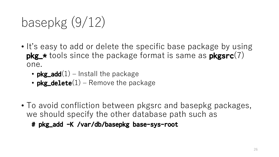## basepkg (9/12)

- It's easy to add or delete the specific base package by using **pkg\_\*** tools since the package format is same as **pkgsrc**(7) one.
	- **pkg\_add** $(1)$  Install the package
	- **pkg\_delete**(1) Remove the package
- To avoid confliction between pkgsrc and basepkg packages, we should specify the other database path such as

**# pkg\_add -K /var/db/basepkg base-sys-root**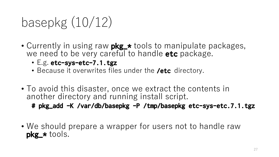## basepkg (10/12)

- Currently in using raw **pkg\_\*** tools to manipulate packages, we need to be very careful to handle **etc** package.
	- E.g. **etc-sys-etc-7.1.tgz**
	- Because it overwrites files under the **/etc** directory.
- To avoid this disaster, once we extract the contents in another directory and running install script.

**# pkg\_add -K /var/db/basepkg -P /tmp/basepkg etc-sys-etc.7.1.tgz**

• We should prepare a wrapper for users not to handle raw **pkg\_\*** tools.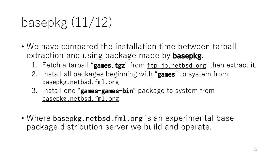## basepkg (11/12)

- We have compared the installation time between tarball extraction and using package made by **basepkg**.
	- 1. Fetch a tarball "**games.tgz**" from ftp.jp.netbsd.org, then extract it.
	- 2. Install all packages beginning with "**games**" to system from basepkg.netbsd.fml.org
	- 3. Install one "**games-games-bin**" package to system from basepkg.netbsd.fml.org
- Where basepkg.netbsd.fml.org is an experimental base package distribution server we build and operate.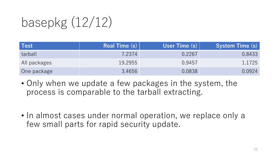# basepkg (12/12)

| Test         | Real Time (s) | User Time $(s)$ | <b>System Time (s)</b> |
|--------------|---------------|-----------------|------------------------|
| tarball      | 7.2374        | 0.2267          | 0.8433                 |
| All packages | 19.2955       | 0.9457          | 1.1725                 |
| One package  | 3.4656        | 0.0838          | 0.0924                 |

- Only when we update a few packages in the system, the process is comparable to the tarball extracting.
- In almost cases under normal operation, we replace only a few small parts for rapid security update.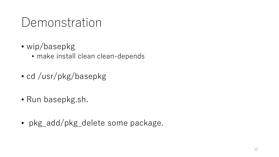#### Demonstration

- wip/basepkg
	- make install clean clean-depends
- cd /usr/pkg/basepkg
- Run basepkg.sh.
- pkg\_add/pkg\_delete some package.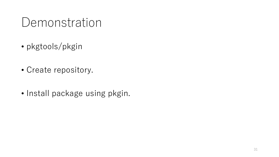#### Demonstration

- pkgtools/pkgin
- Create repository.
- Install package using pkgin.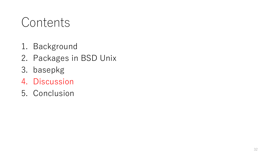#### **Contents**

- 1. Background
- 2. Packages in BSD Unix
- 3. basepkg
- 4. Discussion
- 5. Conclusion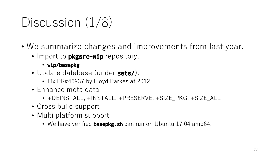## Discussion  $(1/8)$

- We summarize changes and improvements from last year.
	- Import to **pkgsrc-wip** repository.
		- **wip/basepkg**
	- Update database (under **sets/**).
		- Fix PR#46937 by Lloyd Parkes at 2012.
	- Enhance meta data
		- +DEINSTALL, +INSTALL, +PRESERVE, +SIZE\_PKG, +SIZE\_ALL
	- Cross build support
	- Multi platform support
		- We have verified **basepkg.sh** can run on Ubuntu 17.04 amd64.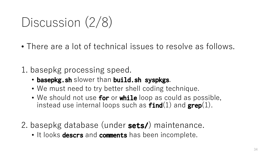### Discussion (2/8)

- There are a lot of technical issues to resolve as follows.
- 1. basepkg processing speed.
	- **basepkg.sh** slower than **build.sh syspkgs**.
	- We must need to try better shell coding technique.
	- We should not use **for** or **while** loop as could as possible, instead use internal loops such as **find**(1) and **grep**(1).
- 2. basepkg database (under **sets/**) maintenance.
	- It looks **descrs** and **comments** has been incomplete.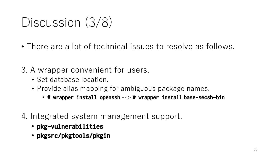### Discussion (3/8)

- There are a lot of technical issues to resolve as follows.
- 3. A wrapper convenient for users.
	- Set database location.
	- Provide alias mapping for ambiguous package names.
		- **# wrapper install openssh** --> **# wrapper install base-secsh-bin**
- 4. Integrated system management support.
	- **pkg-vulnerabilities**
	- **pkgsrc/pkgtools/pkgin**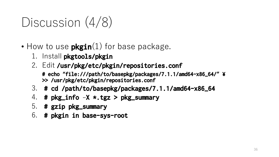## Discussion  $(4/8)$

- How to use **pkgin**(1) for base package.
	- 1. Install **pkgtools/pkgin**
	- 2. Edit **/usr/pkg/etc/pkgin/repositories.conf**
		- **# echo "file:///path/to/basepkg/packages/7.1.1/amd64-x86\_64/" ¥ >> /usr/pkg/etc/pkgin/repositories.conf**
	- 3. **# cd /path/to/basepkg/packages/7.1.1/amd64-x86\_64**
	- 4. **# pkg\_info –X \*.tgz > pkg\_summary**
	- 5. **# gzip pkg\_summary**
	- 6. **# pkgin in base-sys-root**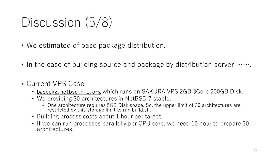### Discussion (5/8)

- We estimated of base package distribution.
- In the case of building source and package by distribution server  $\cdots$ .
- Current VPS Case
	- basepkg.netbsd.fml.org which runs on SAKURA VPS 2GB 3Core 200GB Disk.
	- We providing 30 architectures in NetBSD 7 stable.
		- One architecture requires 5GB Disk space. So, the upper limit of 30 architectures are restricted by this storage limit to run build.sh.
	- Building process costs about 1 hour per target.
	- If we can run processes parallelly per CPU core, we need 10 hour to prepare 30 architectures.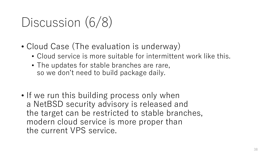## Discussion (6/8)

- Cloud Case (The evaluation is underway)
	- Cloud service is more suitable for intermittent work like this.
	- The updates for stable branches are rare, so we don't need to build package daily.
- If we run this building process only when a NetBSD security advisory is released and the target can be restricted to stable branches, modern cloud service is more proper than the current VPS service.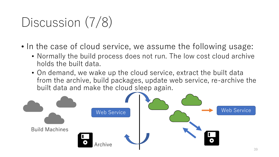## Discussion (7/8)

- In the case of cloud service, we assume the following usage:
	- Normally the build process does not run. The low cost cloud archive holds the built data.
	- On demand, we wake up the cloud service, extract the built data from the archive, build packages, update web service, re-archive the built data and make the cloud sleep again.

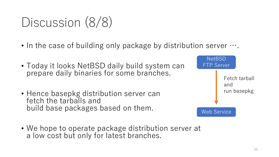### Discussion (8/8)

- In the case of building only package by distribution server  $\cdots$ .
- Today it looks NetBSD daily build system can prepare daily binaries for some branches.
- Hence basepkg distribution server can fetch the tarballs and build base packages based on them.
- We hope to operate package distribution server at a low cost but only for latest branches.

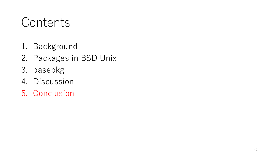#### **Contents**

- 1. Background
- 2. Packages in BSD Unix
- 3. basepkg
- 4. Discussion
- 5. Conclusion